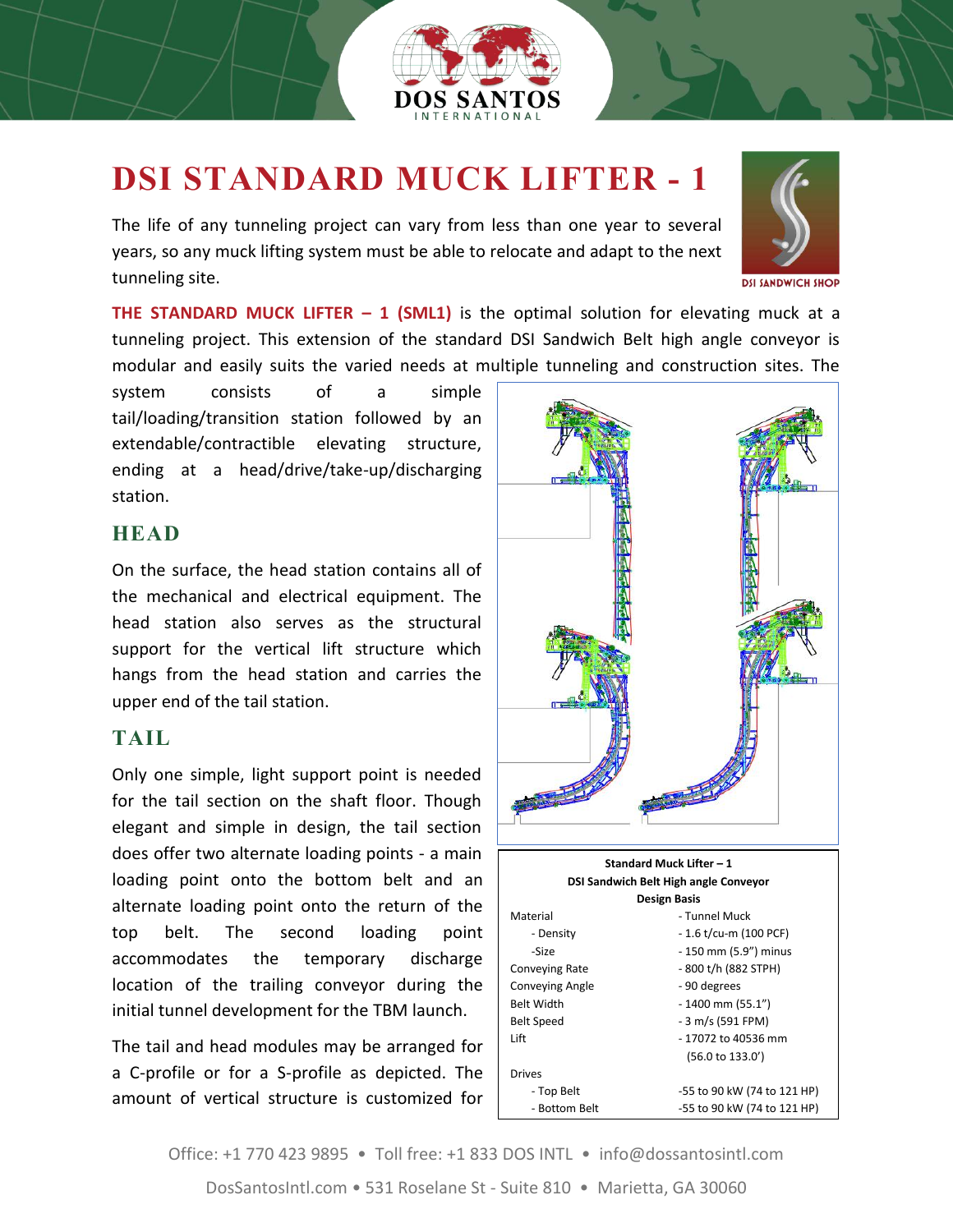

## **DSI STANDARD MUCK LIFTER - 1**

The life of any tunneling project can vary from less than one year to several years, so any muck lifting system must be able to relocate and adapt to the next tunneling site.



**DSI SANDWICH SHOP** 

**THE STANDARD MUCK LIFTER – 1 (SML1)** is the optimal solution for elevating muck at a tunneling project. This extension of the standard DSI Sandwich Belt high angle conveyor is modular and easily suits the varied needs at multiple tunneling and construction sites. The

system consists of a simple tail/loading/transition station followed by an extendable/contractible elevating structure, ending at a head/drive/take-up/discharging station.

## **HEAD**

On the surface, the head station contains all of the mechanical and electrical equipment. The head station also serves as the structural support for the vertical lift structure which hangs from the head station and carries the upper end of the tail station.

## **TAIL**

Only one simple, light support point is needed for the tail section on the shaft floor. Though elegant and simple in design, the tail section does offer two alternate loading points - a main loading point onto the bottom belt and an alternate loading point onto the return of the top belt. The second loading point accommodates the temporary discharge location of the trailing conveyor during the initial tunnel development for the TBM launch.

The tail and head modules may be arranged for a C-profile or for a S-profile as depicted. The amount of vertical structure is customized for



Office: +1 770 423 9895 • Toll free: +1 833 DOS INTL • info@dossantosintl.com DosSantosIntl.com • 531 Roselane St - Suite 810 • Marietta, GA 30060